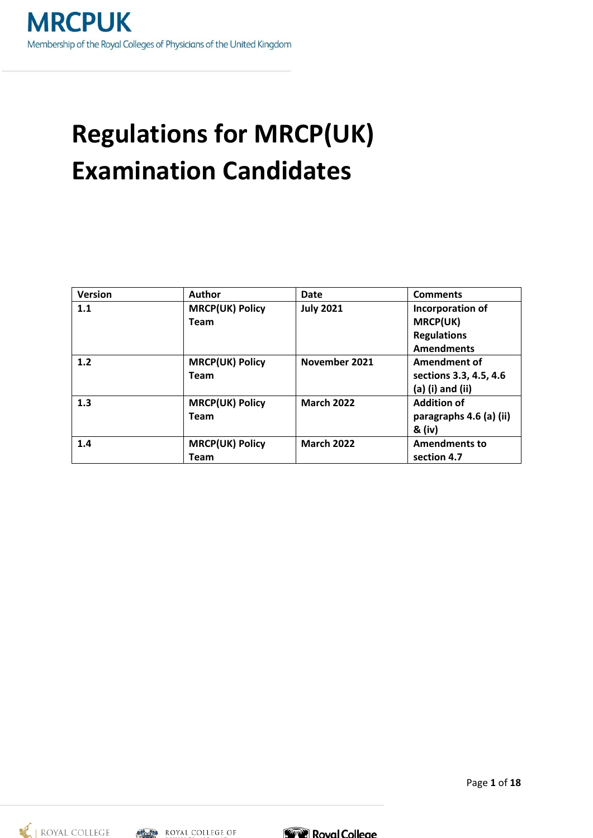# **Regulations for MRCP(UK) Examination Candidates**

| <b>Version</b> | <b>Author</b>          | Date              | <b>Comments</b>         |
|----------------|------------------------|-------------------|-------------------------|
| 1.1            | <b>MRCP(UK) Policy</b> | <b>July 2021</b>  | Incorporation of        |
|                | <b>Team</b>            |                   | <b>MRCP(UK)</b>         |
|                |                        |                   | <b>Regulations</b>      |
|                |                        |                   | <b>Amendments</b>       |
| 1.2            | <b>MRCP(UK) Policy</b> | November 2021     | Amendment of            |
|                | <b>Team</b>            |                   | sections 3.3, 4.5, 4.6  |
|                |                        |                   | $(a)$ (i) and (ii)      |
| 1.3            | <b>MRCP(UK) Policy</b> | <b>March 2022</b> | <b>Addition of</b>      |
|                | <b>Team</b>            |                   | paragraphs 4.6 (a) (ii) |
|                |                        |                   | & (iv)                  |
| 1.4            | <b>MRCP(UK) Policy</b> | <b>March 2022</b> | <b>Amendments to</b>    |
|                | <b>Team</b>            |                   | section 4.7             |





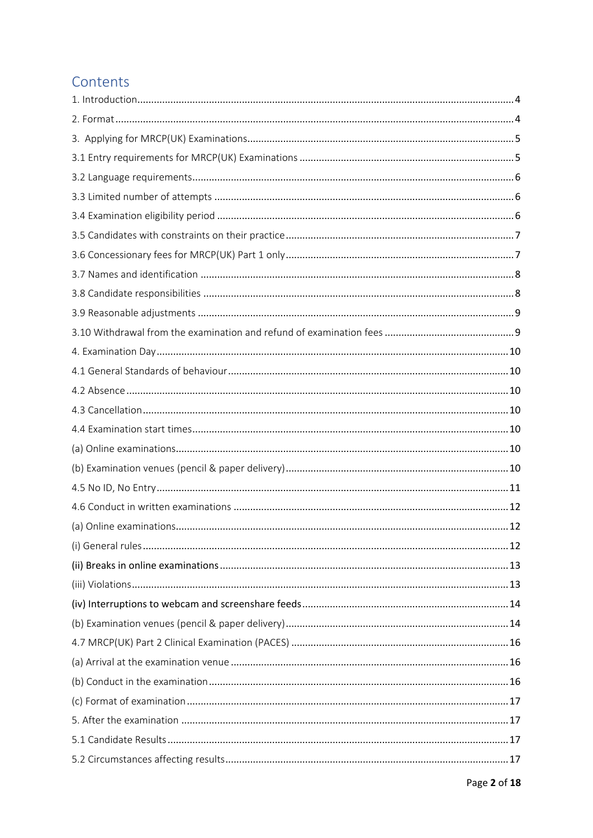# Contents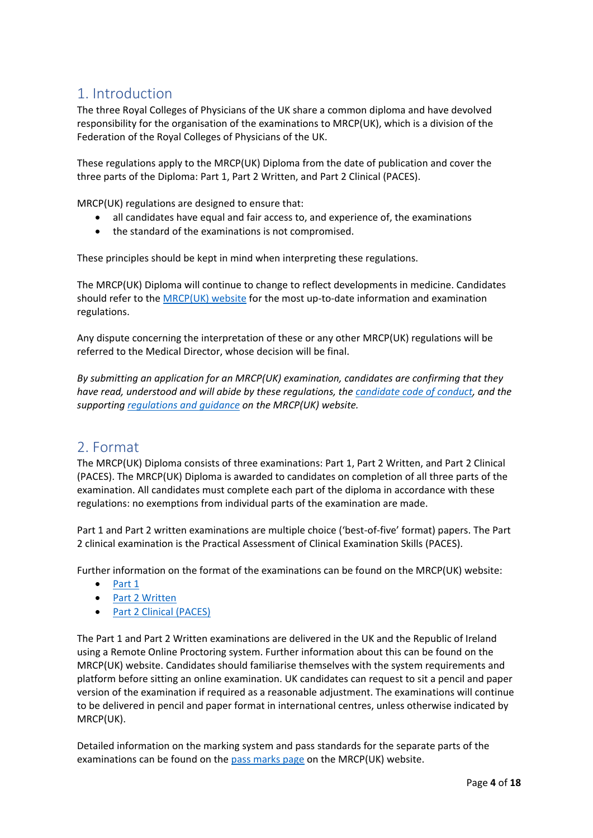# <span id="page-3-0"></span>1. Introduction

The three Royal Colleges of Physicians of the UK share a common diploma and have devolved responsibility for the organisation of the examinations to MRCP(UK), which is a division of the Federation of the Royal Colleges of Physicians of the UK.

These regulations apply to the MRCP(UK) Diploma from the date of publication and cover the three parts of the Diploma: Part 1, Part 2 Written, and Part 2 Clinical (PACES).

MRCP(UK) regulations are designed to ensure that:

- all candidates have equal and fair access to, and experience of, the examinations
- the standard of the examinations is not compromised.

These principles should be kept in mind when interpreting these regulations.

The MRCP(UK) Diploma will continue to change to reflect developments in medicine. Candidates should refer to th[e MRCP\(UK\) website](https://www.mrcpuk.org/) for the most up-to-date information and examination regulations.

Any dispute concerning the interpretation of these or any other MRCP(UK) regulations will be referred to the Medical Director, whose decision will be final.

*By submitting an application for an MRCP(UK) examination, candidates are confirming that they have read, understood and will abide by these regulations, the [candidate code of conduct,](https://www.mrcpuk.org/sites/default/files/documents/MRCP(UK)%20Candidate%20Code%20of%20Conduct.pdf) and the supporting [regulations and guidance](https://www.mrcpuk.org/mrcpuk-examinations/regulations) on the MRCP(UK) website.* 

### <span id="page-3-1"></span>2. Format

The MRCP(UK) Diploma consists of three examinations: Part 1, Part 2 Written, and Part 2 Clinical (PACES). The MRCP(UK) Diploma is awarded to candidates on completion of all three parts of the examination. All candidates must complete each part of the diploma in accordance with these regulations: no exemptions from individual parts of the examination are made.

Part 1 and Part 2 written examinations are multiple choice ('best-of-five' format) papers. The Part 2 clinical examination is the Practical Assessment of Clinical Examination Skills (PACES).

Further information on the format of the examinations can be found on the MRCP(UK) website:

- [Part 1](https://www.mrcpuk.org/mrcpuk-examinations/part-1/format)
- [Part 2 Written](https://www.mrcpuk.org/mrcpuk-examinations/part-2/format)
- [Part 2 Clinical \(PACES\)](https://www.mrcpuk.org/mrcpuk-examinations/paces/paces-examination-format)

The Part 1 and Part 2 Written examinations are delivered in the UK and the Republic of Ireland using a Remote Online Proctoring system. Further information about this can be found on the MRCP(UK) website. Candidates should familiarise themselves with the system requirements and platform before sitting an online examination. UK candidates can request to sit a pencil and paper version of the examination if required as a reasonable adjustment. The examinations will continue to be delivered in pencil and paper format in international centres, unless otherwise indicated by MRCP(UK).

Detailed information on the marking system and pass standards for the separate parts of the examinations can be found on the [pass marks page](https://www.mrcpuk.org/mrcpuk-examinations/results/exam-pass-marks) on the MRCP(UK) website.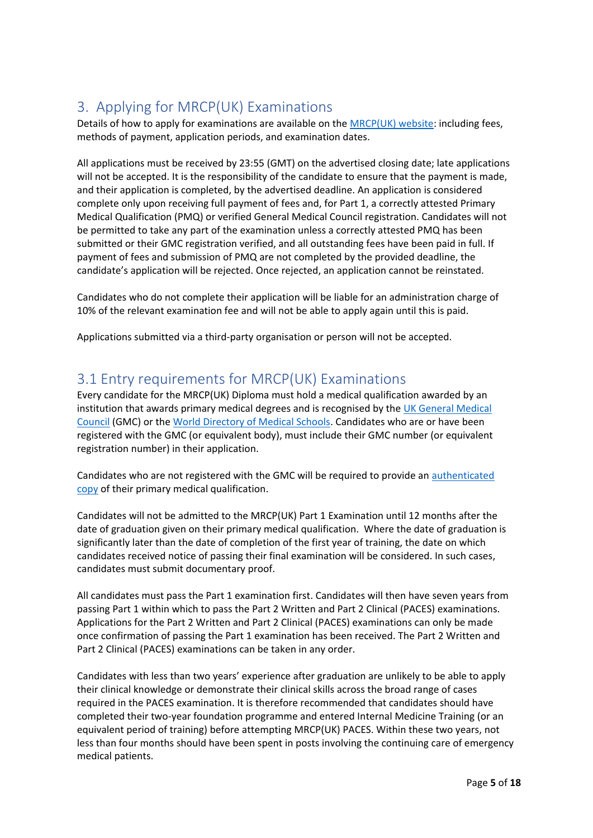# <span id="page-4-0"></span>3. Applying for MRCP(UK) Examinations

Details of how to apply for examinations are available on the **MRCP(UK)** website: including fees, methods of payment, application periods, and examination dates.

All applications must be received by 23:55 (GMT) on the advertised closing date; late applications will not be accepted. It is the responsibility of the candidate to ensure that the payment is made, and their application is completed, by the advertised deadline. An application is considered complete only upon receiving full payment of fees and, for Part 1, a correctly attested Primary Medical Qualification (PMQ) or verified General Medical Council registration. Candidates will not be permitted to take any part of the examination unless a correctly attested PMQ has been submitted or their GMC registration verified, and all outstanding fees have been paid in full. If payment of fees and submission of PMQ are not completed by the provided deadline, the candidate's application will be rejected. Once rejected, an application cannot be reinstated.

Candidates who do not complete their application will be liable for an administration charge of 10% of the relevant examination fee and will not be able to apply again until this is paid.

Applications submitted via a third-party organisation or person will not be accepted.

# <span id="page-4-1"></span>3.1 Entry requirements for MRCP(UK) Examinations

Every candidate for the MRCP(UK) Diploma must hold a medical qualification awarded by an institution that awards primary medical degrees and is recognised by the [UK General Medical](https://www.gmc-uk.org/)  [Council](https://www.gmc-uk.org/) (GMC) or th[e World Directory of Medical Schools.](https://www.wdoms.org/) Candidates who are or have been registered with the GMC (or equivalent body), must include their GMC number (or equivalent registration number) in their application.

Candidates who are not registered with the GMC will be required to provide an [authenticated](https://www.mrcpuk.org/faq/how-do-i-submit-my-primary-medical-qualification)  [copy](https://www.mrcpuk.org/faq/how-do-i-submit-my-primary-medical-qualification) of their primary medical qualification.

Candidates will not be admitted to the MRCP(UK) Part 1 Examination until 12 months after the date of graduation given on their primary medical qualification. Where the date of graduation is significantly later than the date of completion of the first year of training, the date on which candidates received notice of passing their final examination will be considered. In such cases, candidates must submit documentary proof.

All candidates must pass the Part 1 examination first. Candidates will then have seven years from passing Part 1 within which to pass the Part 2 Written and Part 2 Clinical (PACES) examinations. Applications for the Part 2 Written and Part 2 Clinical (PACES) examinations can only be made once confirmation of passing the Part 1 examination has been received. The Part 2 Written and Part 2 Clinical (PACES) examinations can be taken in any order.

Candidates with less than two years' experience after graduation are unlikely to be able to apply their clinical knowledge or demonstrate their clinical skills across the broad range of cases required in the PACES examination. It is therefore recommended that candidates should have completed their two-year foundation programme and entered Internal Medicine Training (or an equivalent period of training) before attempting MRCP(UK) PACES. Within these two years, not less than four months should have been spent in posts involving the continuing care of emergency medical patients.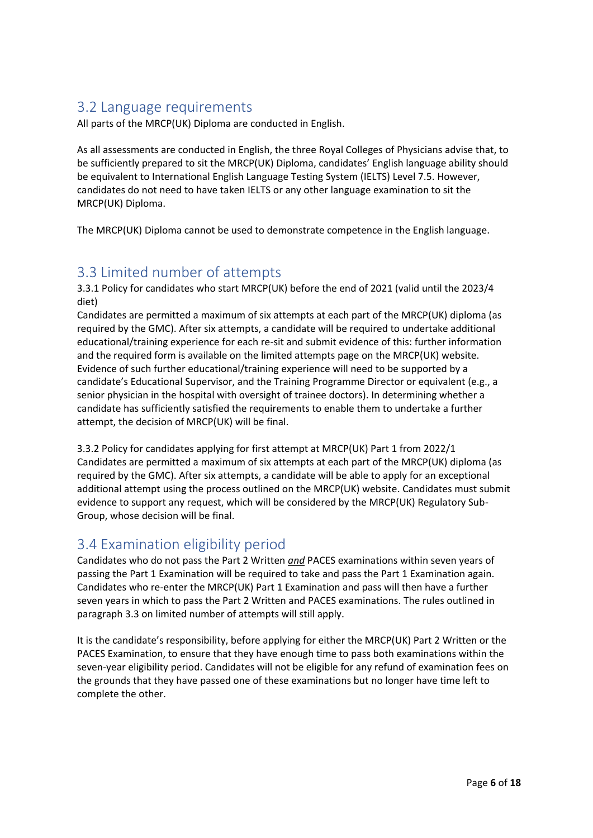### <span id="page-5-0"></span>3.2 Language requirements

All parts of the MRCP(UK) Diploma are conducted in English.

As all assessments are conducted in English, the three Royal Colleges of Physicians advise that, to be sufficiently prepared to sit the MRCP(UK) Diploma, candidates' English language ability should be equivalent to International English Language Testing System (IELTS) Level 7.5. However, candidates do not need to have taken IELTS or any other language examination to sit the MRCP(UK) Diploma.

The MRCP(UK) Diploma cannot be used to demonstrate competence in the English language.

# <span id="page-5-1"></span>3.3 Limited number of attempts

3.3.1 Policy for candidates who start MRCP(UK) before the end of 2021 (valid until the 2023/4 diet)

Candidates are permitted a maximum of six attempts at each part of the MRCP(UK) diploma (as required by the GMC). After six attempts, a candidate will be required to undertake additional educational/training experience for each re-sit and submit evidence of this: further information and the required form is available on the limited attempts page on the MRCP(UK) website. Evidence of such further educational/training experience will need to be supported by a candidate's Educational Supervisor, and the Training Programme Director or equivalent (e.g., a senior physician in the hospital with oversight of trainee doctors). In determining whether a candidate has sufficiently satisfied the requirements to enable them to undertake a further attempt, the decision of MRCP(UK) will be final.

3.3.2 Policy for candidates applying for first attempt at MRCP(UK) Part 1 from 2022/1 Candidates are permitted a maximum of six attempts at each part of the MRCP(UK) diploma (as required by the GMC). After six attempts, a candidate will be able to apply for an exceptional additional attempt using the process outlined on the MRCP(UK) website. Candidates must submit evidence to support any request, which will be considered by the MRCP(UK) Regulatory Sub-Group, whose decision will be final.

### <span id="page-5-2"></span>3.4 Examination eligibility period

Candidates who do not pass the Part 2 Written *and* PACES examinations within seven years of passing the Part 1 Examination will be required to take and pass the Part 1 Examination again. Candidates who re-enter the MRCP(UK) Part 1 Examination and pass will then have a further seven years in which to pass the Part 2 Written and PACES examinations. The rules outlined in paragraph 3.3 on limited number of attempts will still apply.

It is the candidate's responsibility, before applying for either the MRCP(UK) Part 2 Written or the PACES Examination, to ensure that they have enough time to pass both examinations within the seven-year eligibility period. Candidates will not be eligible for any refund of examination fees on the grounds that they have passed one of these examinations but no longer have time left to complete the other.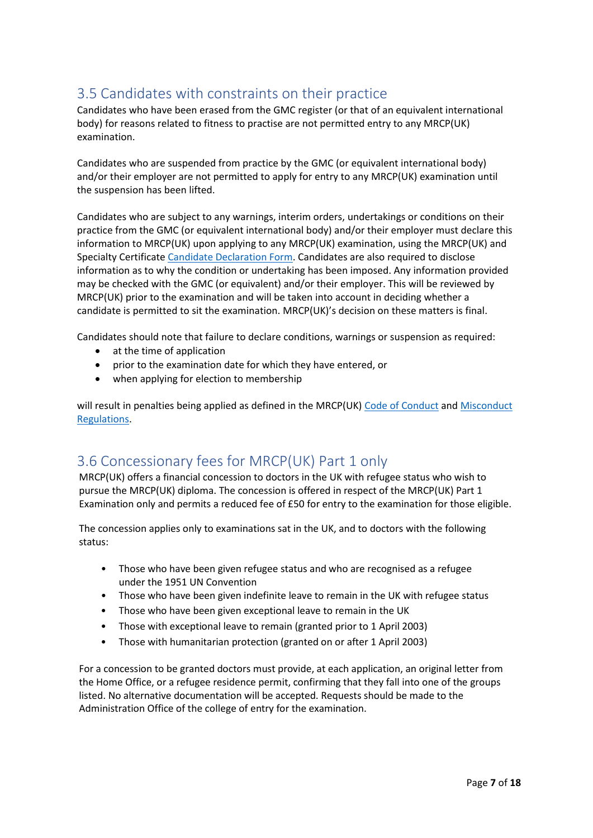# <span id="page-6-0"></span>3.5 Candidates with constraints on their practice

Candidates who have been erased from the GMC register (or that of an equivalent international body) for reasons related to fitness to practise are not permitted entry to any MRCP(UK) examination.

Candidates who are suspended from practice by the GMC (or equivalent international body) and/or their employer are not permitted to apply for entry to any MRCP(UK) examination until the suspension has been lifted.

Candidates who are subject to any warnings, interim orders, undertakings or conditions on their practice from the GMC (or equivalent international body) and/or their employer must declare this information to MRCP(UK) upon applying to any MRCP(UK) examination, using the MRCP(UK) and Specialty Certificat[e Candidate Declaration Form.](https://www.mrcpuk.org/declaration-form) Candidates are also required to disclose information as to why the condition or undertaking has been imposed. Any information provided may be checked with the GMC (or equivalent) and/or their employer. This will be reviewed by MRCP(UK) prior to the examination and will be taken into account in deciding whether a candidate is permitted to sit the examination. MRCP(UK)'s decision on these matters is final.

Candidates should note that failure to declare conditions, warnings or suspension as required:

- at the time of application
- prior to the examination date for which they have entered, or
- when applying for election to membership

will result in penalties being applied as defined in the MRCP(UK) [Code of Conduct](https://www.mrcpuk.org/sites/default/files/documents/MRCP(UK)%20Candidate%20Code%20of%20Conduct.pdf) and Misconduct [Regulations.](https://www.mrcpuk.org/sites/default/files/documents/MRCP(UK)%20Misconduct%20Regulations.pdf)

# <span id="page-6-1"></span>3.6 Concessionary fees for MRCP(UK) Part 1 only

MRCP(UK) offers a financial concession to doctors in the UK with refugee status who wish to pursue the MRCP(UK) diploma. The concession is offered in respect of the MRCP(UK) Part 1 Examination only and permits a reduced fee of £50 for entry to the examination for those eligible.

The concession applies only to examinations sat in the UK, and to doctors with the following status:

- Those who have been given refugee status and who are recognised as a refugee under the 1951 UN Convention
- Those who have been given indefinite leave to remain in the UK with refugee status
- Those who have been given exceptional leave to remain in the UK
- Those with exceptional leave to remain (granted prior to 1 April 2003)
- Those with humanitarian protection (granted on or after 1 April 2003)

For a concession to be granted doctors must provide, at each application, an original letter from the Home Office, or a refugee residence permit, confirming that they fall into one of the groups listed. No alternative documentation will be accepted. Requests should be made to the Administration Office of the college of entry for the examination.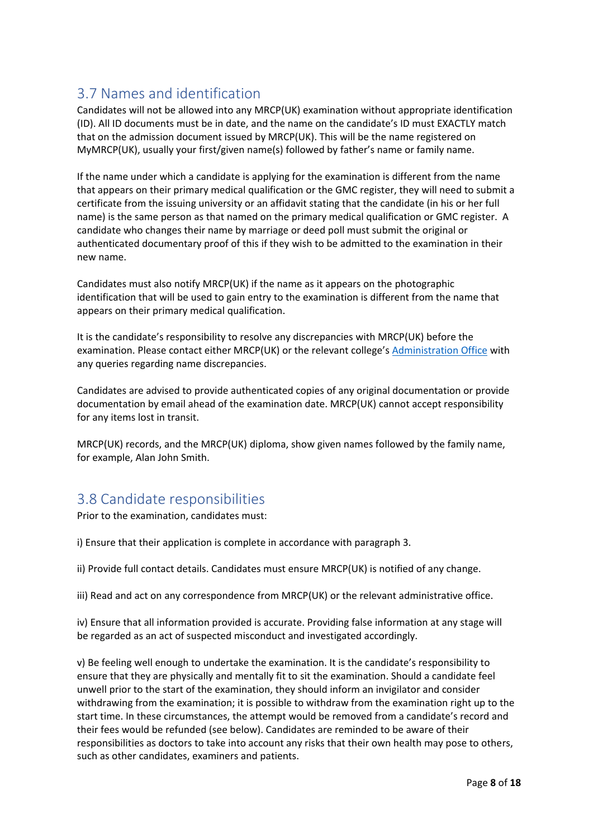# <span id="page-7-0"></span>3.7 Names and identification

Candidates will not be allowed into any MRCP(UK) examination without appropriate identification (ID). All ID documents must be in date, and the name on the candidate's ID must EXACTLY match that on the admission document issued by MRCP(UK). This will be the name registered on MyMRCP(UK), usually your first/given name(s) followed by father's name or family name.

If the name under which a candidate is applying for the examination is different from the name that appears on their primary medical qualification or the GMC register, they will need to submit a certificate from the issuing university or an affidavit stating that the candidate (in his or her full name) is the same person as that named on the primary medical qualification or GMC register. A candidate who changes their name by marriage or deed poll must submit the original or authenticated documentary proof of this if they wish to be admitted to the examination in their new name.

Candidates must also notify MRCP(UK) if the name as it appears on the photographic identification that will be used to gain entry to the examination is different from the name that appears on their primary medical qualification.

It is the candidate's responsibility to resolve any discrepancies with MRCP(UK) before the examination. Please contact either MRCP(UK) or the relevant college's [Administration Office](https://www.mrcpuk.org/contact-us) with any queries regarding name discrepancies.

Candidates are advised to provide authenticated copies of any original documentation or provide documentation by email ahead of the examination date. MRCP(UK) cannot accept responsibility for any items lost in transit.

MRCP(UK) records, and the MRCP(UK) diploma, show given names followed by the family name, for example, Alan John Smith.

### <span id="page-7-1"></span>3.8 Candidate responsibilities

Prior to the examination, candidates must:

i) Ensure that their application is complete in accordance with paragraph 3.

ii) Provide full contact details. Candidates must ensure MRCP(UK) is notified of any change.

iii) Read and act on any correspondence from MRCP(UK) or the relevant administrative office.

iv) Ensure that all information provided is accurate. Providing false information at any stage will be regarded as an act of suspected misconduct and investigated accordingly.

v) Be feeling well enough to undertake the examination. It is the candidate's responsibility to ensure that they are physically and mentally fit to sit the examination. Should a candidate feel unwell prior to the start of the examination, they should inform an invigilator and consider withdrawing from the examination; it is possible to withdraw from the examination right up to the start time. In these circumstances, the attempt would be removed from a candidate's record and their fees would be refunded (see below). Candidates are reminded to be aware of their responsibilities as doctors to take into account any risks that their own health may pose to others, such as other candidates, examiners and patients.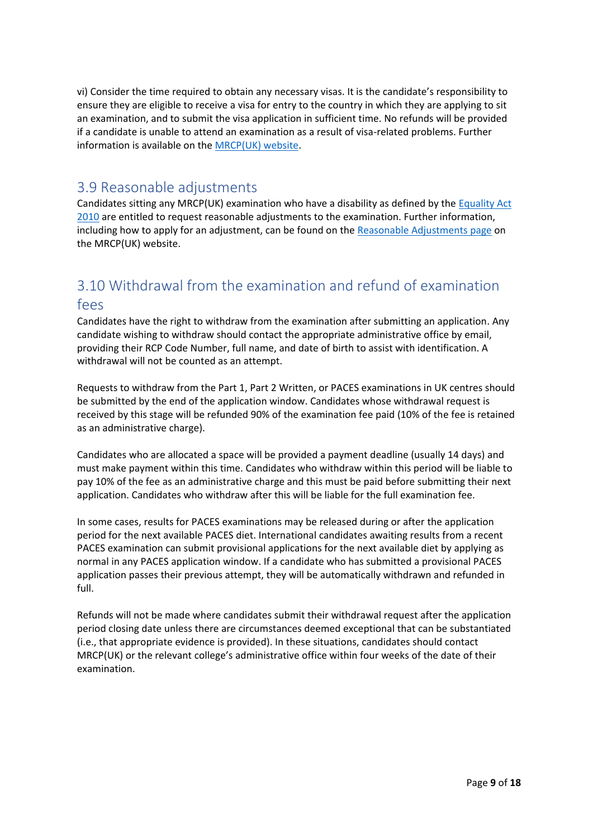vi) Consider the time required to obtain any necessary visas. It is the candidate's responsibility to ensure they are eligible to receive a visa for entry to the country in which they are applying to sit an examination, and to submit the visa application in sufficient time. No refunds will be provided if a candidate is unable to attend an examination as a result of visa-related problems. Further information is available on the [MRCP\(UK\) website.](https://www.mrcpuk.org/mrcpuk-examinations/international/visa-information)

### <span id="page-8-0"></span>3.9 Reasonable adjustments

Candidates sitting any MRCP(UK) examination who have a disability as defined by the [Equality Act](https://www.legislation.gov.uk/ukpga/2010/15/contents)  [2010](https://www.legislation.gov.uk/ukpga/2010/15/contents) are entitled to request reasonable adjustments to the examination. Further information, including how to apply for an adjustment, can be found on the [Reasonable Adjustments page](https://www.mrcpuk.org/reasonable-adjustments) on the MRCP(UK) website.

# <span id="page-8-1"></span>3.10 Withdrawal from the examination and refund of examination fees

Candidates have the right to withdraw from the examination after submitting an application. Any candidate wishing to withdraw should contact the appropriate administrative office by email, providing their RCP Code Number, full name, and date of birth to assist with identification. A withdrawal will not be counted as an attempt.

Requests to withdraw from the Part 1, Part 2 Written, or PACES examinations in UK centres should be submitted by the end of the application window. Candidates whose withdrawal request is received by this stage will be refunded 90% of the examination fee paid (10% of the fee is retained as an administrative charge).

Candidates who are allocated a space will be provided a payment deadline (usually 14 days) and must make payment within this time. Candidates who withdraw within this period will be liable to pay 10% of the fee as an administrative charge and this must be paid before submitting their next application. Candidates who withdraw after this will be liable for the full examination fee.

In some cases, results for PACES examinations may be released during or after the application period for the next available PACES diet. International candidates awaiting results from a recent PACES examination can submit provisional applications for the next available diet by applying as normal in any PACES application window. If a candidate who has submitted a provisional PACES application passes their previous attempt, they will be automatically withdrawn and refunded in full.

Refunds will not be made where candidates submit their withdrawal request after the application period closing date unless there are circumstances deemed exceptional that can be substantiated (i.e., that appropriate evidence is provided). In these situations, candidates should contact MRCP(UK) or the relevant college's administrative office within four weeks of the date of their examination.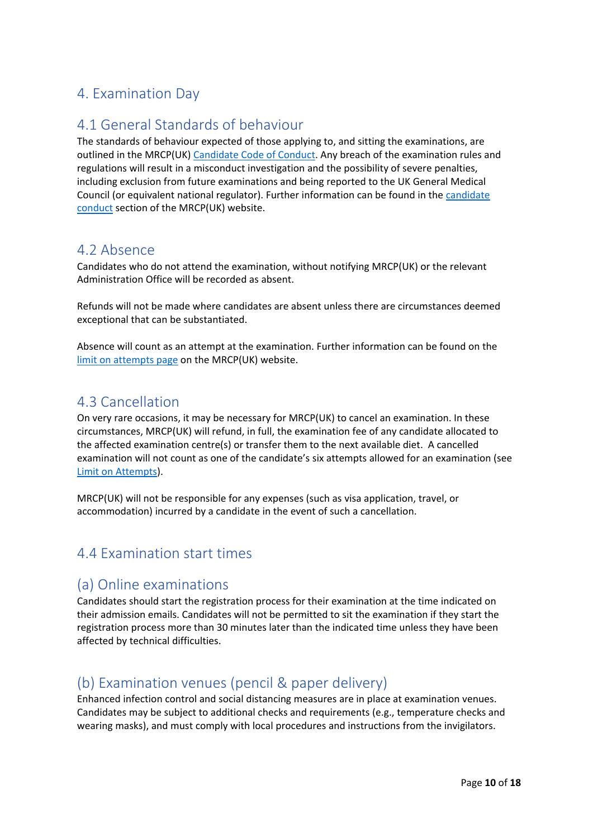# <span id="page-9-0"></span>4. Examination Day

### <span id="page-9-1"></span>4.1 General Standards of behaviour

The standards of behaviour expected of those applying to, and sitting the examinations, are outlined in the MRCP(UK) [Candidate Code of Conduct.](https://www.mrcpuk.org/sites/default/files/documents/MRCP(UK)%20Candidate%20Code%20of%20Conduct.pdf) Any breach of the examination rules and regulations will result in a misconduct investigation and the possibility of severe penalties, including exclusion from future examinations and being reported to the UK General Medical Council (or equivalent national regulator). Further information can be found in the [candidate](https://www.mrcpuk.org/mrcpuk-examinations/regulations/candidate-conduct)  [conduct](https://www.mrcpuk.org/mrcpuk-examinations/regulations/candidate-conduct) section of the MRCP(UK) website.

### <span id="page-9-2"></span>4.2 Absence

Candidates who do not attend the examination, without notifying MRCP(UK) or the relevant Administration Office will be recorded as absent.

Refunds will not be made where candidates are absent unless there are circumstances deemed exceptional that can be substantiated.

Absence will count as an attempt at the examination. Further information can be found on the [limit on attempts page](https://www.mrcpuk.org/mrcpuk-examinations/regulations/limit-attempts) on the MRCP(UK) website.

### <span id="page-9-3"></span>4.3 Cancellation

On very rare occasions, it may be necessary for MRCP(UK) to cancel an examination. In these circumstances, MRCP(UK) will refund, in full, the examination fee of any candidate allocated to the affected examination centre(s) or transfer them to the next available diet. A cancelled examination will not count as one of the candidate's six attempts allowed for an examination (see [Limit on Attempts\)](https://www.mrcpuk.org/mrcpuk-examinations/regulations/limit-attempts).

MRCP(UK) will not be responsible for any expenses (such as visa application, travel, or accommodation) incurred by a candidate in the event of such a cancellation.

### <span id="page-9-4"></span>4.4 Examination start times

### <span id="page-9-5"></span>(a) Online examinations

Candidates should start the registration process for their examination at the time indicated on their admission emails. Candidates will not be permitted to sit the examination if they start the registration process more than 30 minutes later than the indicated time unless they have been affected by technical difficulties.

# <span id="page-9-6"></span>(b) Examination venues (pencil & paper delivery)

Enhanced infection control and social distancing measures are in place at examination venues. Candidates may be subject to additional checks and requirements (e.g., temperature checks and wearing masks), and must comply with local procedures and instructions from the invigilators.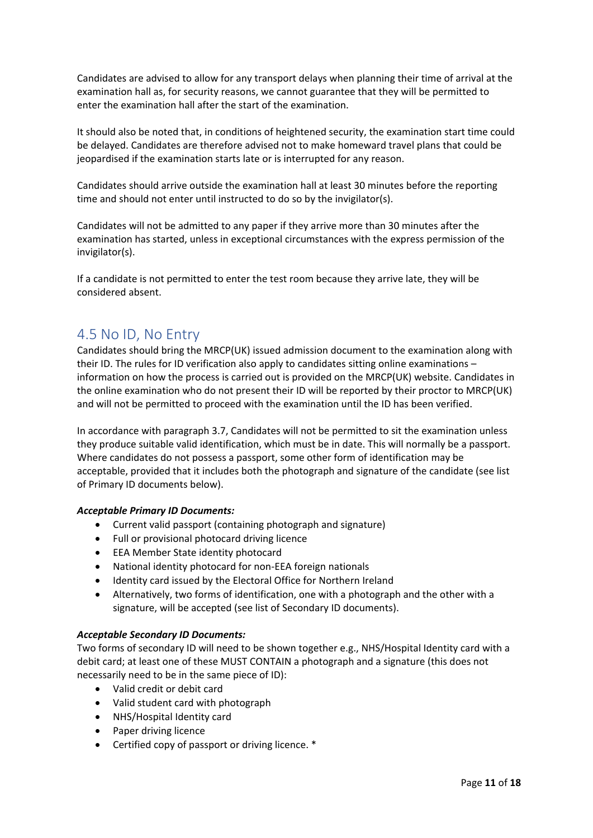Candidates are advised to allow for any transport delays when planning their time of arrival at the examination hall as, for security reasons, we cannot guarantee that they will be permitted to enter the examination hall after the start of the examination.

It should also be noted that, in conditions of heightened security, the examination start time could be delayed. Candidates are therefore advised not to make homeward travel plans that could be jeopardised if the examination starts late or is interrupted for any reason.

Candidates should arrive outside the examination hall at least 30 minutes before the reporting time and should not enter until instructed to do so by the invigilator(s).

Candidates will not be admitted to any paper if they arrive more than 30 minutes after the examination has started, unless in exceptional circumstances with the express permission of the invigilator(s).

If a candidate is not permitted to enter the test room because they arrive late, they will be considered absent.

### <span id="page-10-0"></span>4.5 No ID, No Entry

Candidates should bring the MRCP(UK) issued admission document to the examination along with their ID. The rules for ID verification also apply to candidates sitting online examinations – information on how the process is carried out is provided on the MRCP(UK) website. Candidates in the online examination who do not present their ID will be reported by their proctor to MRCP(UK) and will not be permitted to proceed with the examination until the ID has been verified.

In accordance with paragraph 3.7, Candidates will not be permitted to sit the examination unless they produce suitable valid identification, which must be in date. This will normally be a passport. Where candidates do not possess a passport, some other form of identification may be acceptable, provided that it includes both the photograph and signature of the candidate (see list of Primary ID documents below).

#### *Acceptable Primary ID Documents:*

- Current valid passport (containing photograph and signature)
- Full or provisional photocard driving licence
- EEA Member State identity photocard
- National identity photocard for non-EEA foreign nationals
- Identity card issued by the Electoral Office for Northern Ireland
- Alternatively, two forms of identification, one with a photograph and the other with a signature, will be accepted (see list of Secondary ID documents).

#### *Acceptable Secondary ID Documents:*

Two forms of secondary ID will need to be shown together e.g., NHS/Hospital Identity card with a debit card; at least one of these MUST CONTAIN a photograph and a signature (this does not necessarily need to be in the same piece of ID):

- Valid credit or debit card
- Valid student card with photograph
- NHS/Hospital Identity card
- Paper driving licence
- Certified copy of passport or driving licence. \*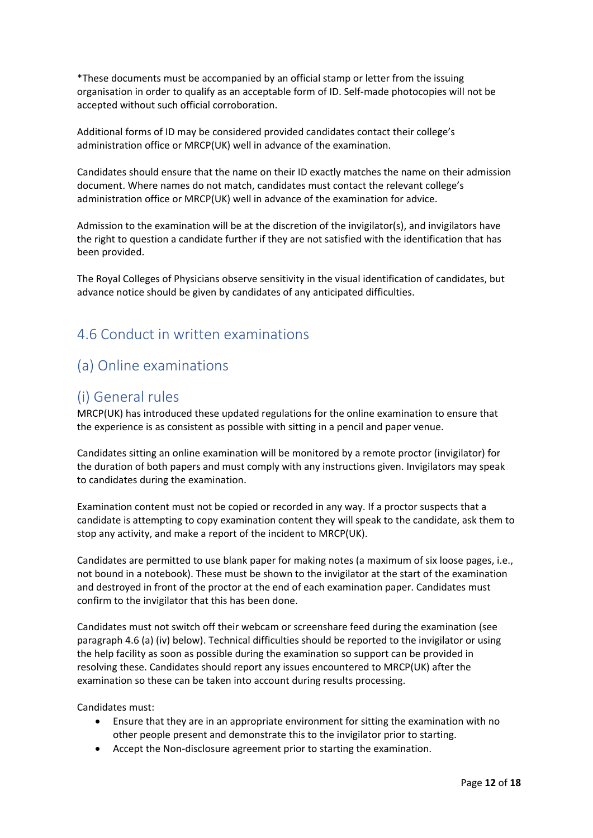\*These documents must be accompanied by an official stamp or letter from the issuing organisation in order to qualify as an acceptable form of ID. Self-made photocopies will not be accepted without such official corroboration.

Additional forms of ID may be considered provided candidates contact their college's administration office or MRCP(UK) well in advance of the examination.

Candidates should ensure that the name on their ID exactly matches the name on their admission document. Where names do not match, candidates must contact the relevant college's administration office or MRCP(UK) well in advance of the examination for advice.

Admission to the examination will be at the discretion of the invigilator(s), and invigilators have the right to question a candidate further if they are not satisfied with the identification that has been provided.

The Royal Colleges of Physicians observe sensitivity in the visual identification of candidates, but advance notice should be given by candidates of any anticipated difficulties.

### <span id="page-11-0"></span>4.6 Conduct in written examinations

### <span id="page-11-1"></span>(a) Online examinations

### <span id="page-11-2"></span>(i) General rules

MRCP(UK) has introduced these updated regulations for the online examination to ensure that the experience is as consistent as possible with sitting in a pencil and paper venue.

Candidates sitting an online examination will be monitored by a remote proctor (invigilator) for the duration of both papers and must comply with any instructions given. Invigilators may speak to candidates during the examination.

Examination content must not be copied or recorded in any way. If a proctor suspects that a candidate is attempting to copy examination content they will speak to the candidate, ask them to stop any activity, and make a report of the incident to MRCP(UK).

Candidates are permitted to use blank paper for making notes (a maximum of six loose pages, i.e., not bound in a notebook). These must be shown to the invigilator at the start of the examination and destroyed in front of the proctor at the end of each examination paper. Candidates must confirm to the invigilator that this has been done.

Candidates must not switch off their webcam or screenshare feed during the examination (see paragraph 4.6 (a) (iv) below). Technical difficulties should be reported to the invigilator or using the help facility as soon as possible during the examination so support can be provided in resolving these. Candidates should report any issues encountered to MRCP(UK) after the examination so these can be taken into account during results processing.

Candidates must:

- Ensure that they are in an appropriate environment for sitting the examination with no other people present and demonstrate this to the invigilator prior to starting.
- Accept the Non-disclosure agreement prior to starting the examination.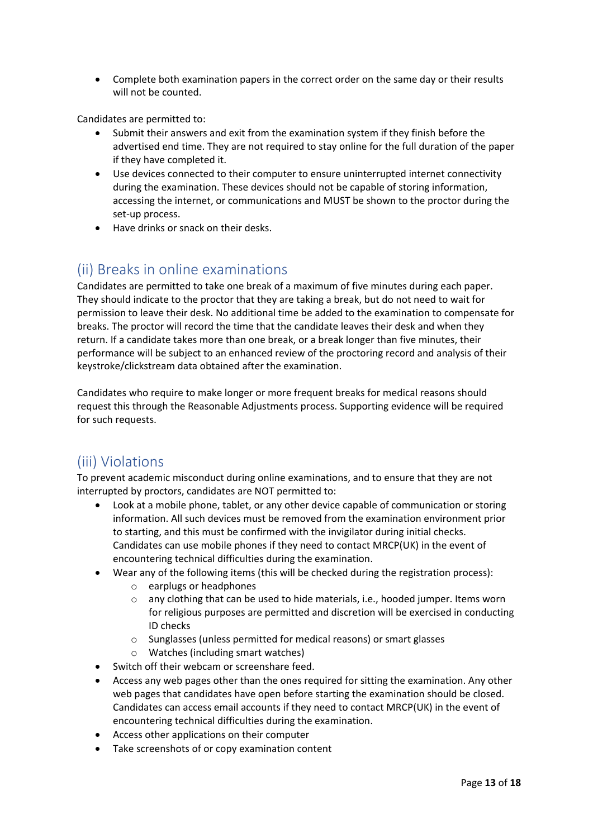• Complete both examination papers in the correct order on the same day or their results will not be counted.

Candidates are permitted to:

- Submit their answers and exit from the examination system if they finish before the advertised end time. They are not required to stay online for the full duration of the paper if they have completed it.
- Use devices connected to their computer to ensure uninterrupted internet connectivity during the examination. These devices should not be capable of storing information, accessing the internet, or communications and MUST be shown to the proctor during the set-up process.
- Have drinks or snack on their desks.

# <span id="page-12-0"></span>(ii) Breaks in online examinations

Candidates are permitted to take one break of a maximum of five minutes during each paper. They should indicate to the proctor that they are taking a break, but do not need to wait for permission to leave their desk. No additional time be added to the examination to compensate for breaks. The proctor will record the time that the candidate leaves their desk and when they return. If a candidate takes more than one break, or a break longer than five minutes, their performance will be subject to an enhanced review of the proctoring record and analysis of their keystroke/clickstream data obtained after the examination.

Candidates who require to make longer or more frequent breaks for medical reasons should request this through the Reasonable Adjustments process. Supporting evidence will be required for such requests.

# <span id="page-12-1"></span>(iii) Violations

To prevent academic misconduct during online examinations, and to ensure that they are not interrupted by proctors, candidates are NOT permitted to:

- Look at a mobile phone, tablet, or any other device capable of communication or storing information. All such devices must be removed from the examination environment prior to starting, and this must be confirmed with the invigilator during initial checks. Candidates can use mobile phones if they need to contact MRCP(UK) in the event of encountering technical difficulties during the examination.
- Wear any of the following items (this will be checked during the registration process):
	- o earplugs or headphones
	- o any clothing that can be used to hide materials, i.e., hooded jumper. Items worn for religious purposes are permitted and discretion will be exercised in conducting ID checks
	- o Sunglasses (unless permitted for medical reasons) or smart glasses
	- o Watches (including smart watches)
- Switch off their webcam or screenshare feed.
- Access any web pages other than the ones required for sitting the examination. Any other web pages that candidates have open before starting the examination should be closed. Candidates can access email accounts if they need to contact MRCP(UK) in the event of encountering technical difficulties during the examination.
- Access other applications on their computer
- Take screenshots of or copy examination content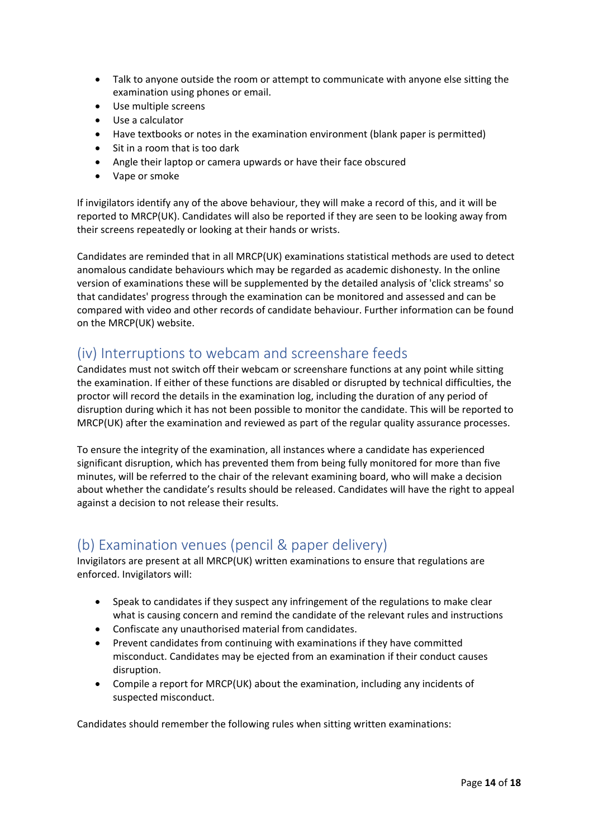- Talk to anyone outside the room or attempt to communicate with anyone else sitting the examination using phones or email.
- Use multiple screens
- Use a calculator
- Have textbooks or notes in the examination environment (blank paper is permitted)
- Sit in a room that is too dark
- Angle their laptop or camera upwards or have their face obscured
- Vape or smoke

If invigilators identify any of the above behaviour, they will make a record of this, and it will be reported to MRCP(UK). Candidates will also be reported if they are seen to be looking away from their screens repeatedly or looking at their hands or wrists.

Candidates are reminded that in all MRCP(UK) examinations statistical methods are used to detect anomalous candidate behaviours which may be regarded as academic dishonesty. In the online version of examinations these will be supplemented by the detailed analysis of 'click streams' so that candidates' progress through the examination can be monitored and assessed and can be compared with video and other records of candidate behaviour. Further information can be found on the MRCP(UK) website.

### <span id="page-13-0"></span>(iv) Interruptions to webcam and screenshare feeds

Candidates must not switch off their webcam or screenshare functions at any point while sitting the examination. If either of these functions are disabled or disrupted by technical difficulties, the proctor will record the details in the examination log, including the duration of any period of disruption during which it has not been possible to monitor the candidate. This will be reported to MRCP(UK) after the examination and reviewed as part of the regular quality assurance processes.

To ensure the integrity of the examination, all instances where a candidate has experienced significant disruption, which has prevented them from being fully monitored for more than five minutes, will be referred to the chair of the relevant examining board, who will make a decision about whether the candidate's results should be released. Candidates will have the right to appeal against a decision to not release their results.

# <span id="page-13-1"></span>(b) Examination venues (pencil & paper delivery)

Invigilators are present at all MRCP(UK) written examinations to ensure that regulations are enforced. Invigilators will:

- Speak to candidates if they suspect any infringement of the regulations to make clear what is causing concern and remind the candidate of the relevant rules and instructions
- Confiscate any unauthorised material from candidates.
- Prevent candidates from continuing with examinations if they have committed misconduct. Candidates may be ejected from an examination if their conduct causes disruption.
- Compile a report for MRCP(UK) about the examination, including any incidents of suspected misconduct.

Candidates should remember the following rules when sitting written examinations: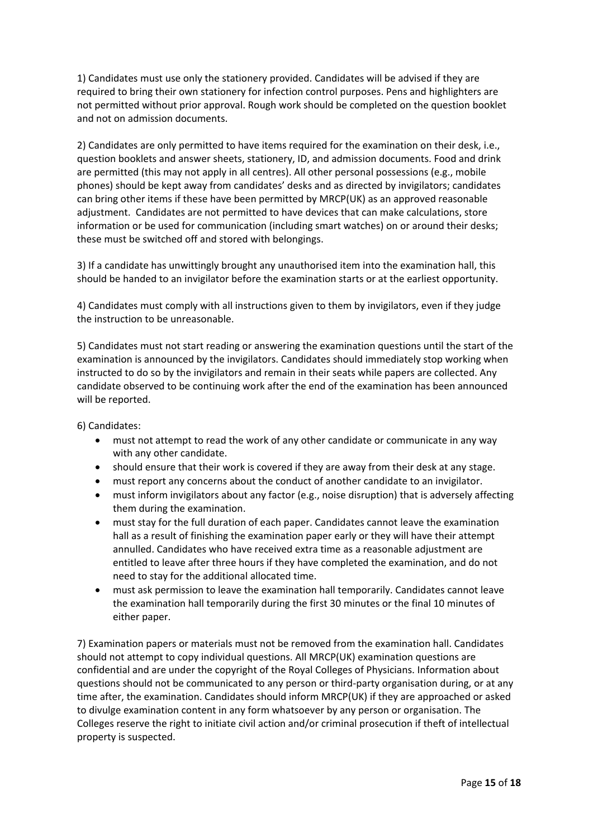1) Candidates must use only the stationery provided. Candidates will be advised if they are required to bring their own stationery for infection control purposes. Pens and highlighters are not permitted without prior approval. Rough work should be completed on the question booklet and not on admission documents.

2) Candidates are only permitted to have items required for the examination on their desk, i.e., question booklets and answer sheets, stationery, ID, and admission documents. Food and drink are permitted (this may not apply in all centres). All other personal possessions (e.g., mobile phones) should be kept away from candidates' desks and as directed by invigilators; candidates can bring other items if these have been permitted by MRCP(UK) as an approved reasonable adjustment. Candidates are not permitted to have devices that can make calculations, store information or be used for communication (including smart watches) on or around their desks; these must be switched off and stored with belongings.

3) If a candidate has unwittingly brought any unauthorised item into the examination hall, this should be handed to an invigilator before the examination starts or at the earliest opportunity.

4) Candidates must comply with all instructions given to them by invigilators, even if they judge the instruction to be unreasonable.

5) Candidates must not start reading or answering the examination questions until the start of the examination is announced by the invigilators. Candidates should immediately stop working when instructed to do so by the invigilators and remain in their seats while papers are collected. Any candidate observed to be continuing work after the end of the examination has been announced will be reported.

6) Candidates:

- must not attempt to read the work of any other candidate or communicate in any way with any other candidate.
- should ensure that their work is covered if they are away from their desk at any stage.
- must report any concerns about the conduct of another candidate to an invigilator.
- must inform invigilators about any factor (e.g., noise disruption) that is adversely affecting them during the examination.
- must stay for the full duration of each paper. Candidates cannot leave the examination hall as a result of finishing the examination paper early or they will have their attempt annulled. Candidates who have received extra time as a reasonable adjustment are entitled to leave after three hours if they have completed the examination, and do not need to stay for the additional allocated time.
- must ask permission to leave the examination hall temporarily. Candidates cannot leave the examination hall temporarily during the first 30 minutes or the final 10 minutes of either paper.

7) Examination papers or materials must not be removed from the examination hall. Candidates should not attempt to copy individual questions. All MRCP(UK) examination questions are confidential and are under the copyright of the Royal Colleges of Physicians. Information about questions should not be communicated to any person or third-party organisation during, or at any time after, the examination. Candidates should inform MRCP(UK) if they are approached or asked to divulge examination content in any form whatsoever by any person or organisation. The Colleges reserve the right to initiate civil action and/or criminal prosecution if theft of intellectual property is suspected.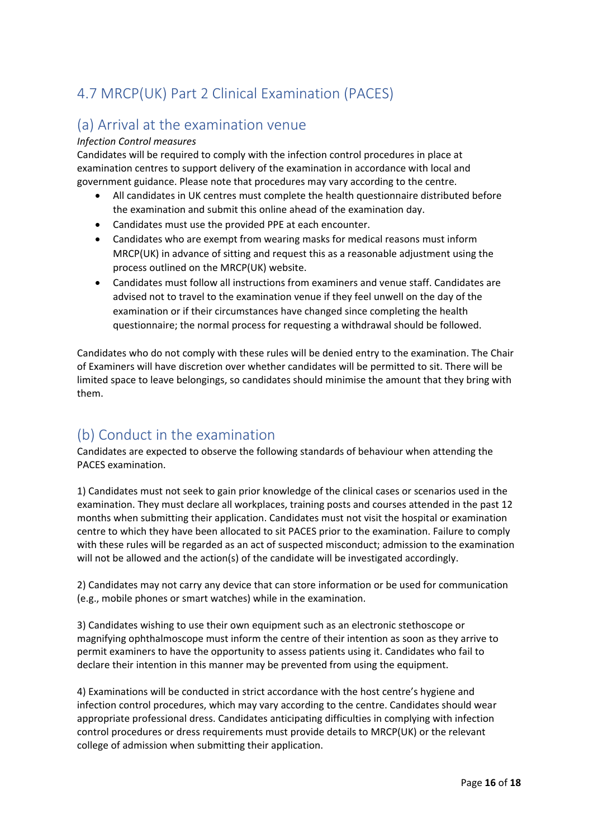# <span id="page-15-0"></span>4.7 MRCP(UK) Part 2 Clinical Examination (PACES)

## <span id="page-15-1"></span>(a) Arrival at the examination venue

#### *Infection Control measures*

Candidates will be required to comply with the infection control procedures in place at examination centres to support delivery of the examination in accordance with local and government guidance. Please note that procedures may vary according to the centre.

- All candidates in UK centres must complete the health questionnaire distributed before the examination and submit this online ahead of the examination day.
- Candidates must use the provided PPE at each encounter.
- Candidates who are exempt from wearing masks for medical reasons must inform MRCP(UK) in advance of sitting and request this as a reasonable adjustment using the process outlined on the MRCP(UK) website.
- Candidates must follow all instructions from examiners and venue staff. Candidates are advised not to travel to the examination venue if they feel unwell on the day of the examination or if their circumstances have changed since completing the health questionnaire; the normal process for requesting a withdrawal should be followed.

Candidates who do not comply with these rules will be denied entry to the examination. The Chair of Examiners will have discretion over whether candidates will be permitted to sit. There will be limited space to leave belongings, so candidates should minimise the amount that they bring with them.

# <span id="page-15-2"></span>(b) Conduct in the examination

Candidates are expected to observe the following standards of behaviour when attending the PACES examination.

1) Candidates must not seek to gain prior knowledge of the clinical cases or scenarios used in the examination. They must declare all workplaces, training posts and courses attended in the past 12 months when submitting their application. Candidates must not visit the hospital or examination centre to which they have been allocated to sit PACES prior to the examination. Failure to comply with these rules will be regarded as an act of suspected misconduct; admission to the examination will not be allowed and the action(s) of the candidate will be investigated accordingly.

2) Candidates may not carry any device that can store information or be used for communication (e.g., mobile phones or smart watches) while in the examination.

3) Candidates wishing to use their own equipment such as an electronic stethoscope or magnifying ophthalmoscope must inform the centre of their intention as soon as they arrive to permit examiners to have the opportunity to assess patients using it. Candidates who fail to declare their intention in this manner may be prevented from using the equipment.

4) Examinations will be conducted in strict accordance with the host centre's hygiene and infection control procedures, which may vary according to the centre. Candidates should wear appropriate professional dress. Candidates anticipating difficulties in complying with infection control procedures or dress requirements must provide details to MRCP(UK) or the relevant college of admission when submitting their application.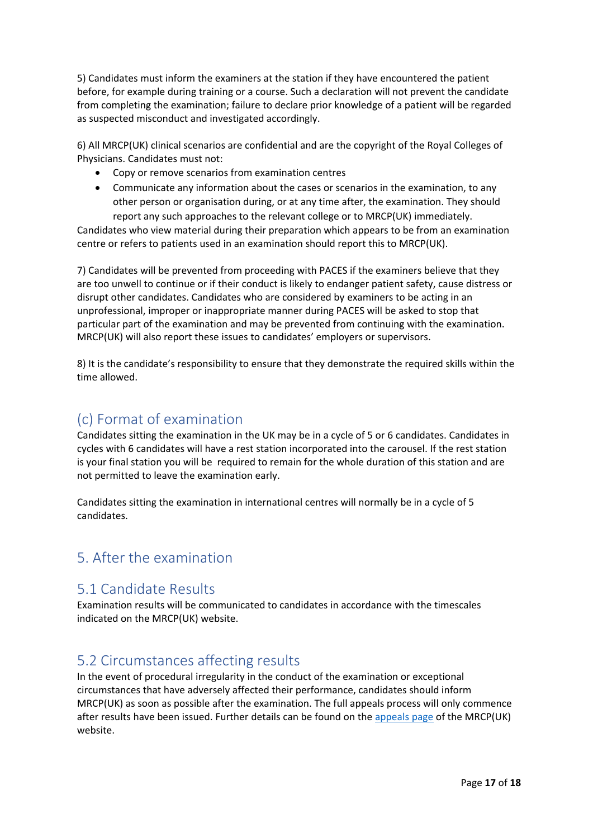5) Candidates must inform the examiners at the station if they have encountered the patient before, for example during training or a course. Such a declaration will not prevent the candidate from completing the examination; failure to declare prior knowledge of a patient will be regarded as suspected misconduct and investigated accordingly.

6) All MRCP(UK) clinical scenarios are confidential and are the copyright of the Royal Colleges of Physicians. Candidates must not:

- Copy or remove scenarios from examination centres
- Communicate any information about the cases or scenarios in the examination, to any other person or organisation during, or at any time after, the examination. They should report any such approaches to the relevant college or to MRCP(UK) immediately.

Candidates who view material during their preparation which appears to be from an examination centre or refers to patients used in an examination should report this to MRCP(UK).

7) Candidates will be prevented from proceeding with PACES if the examiners believe that they are too unwell to continue or if their conduct is likely to endanger patient safety, cause distress or disrupt other candidates. Candidates who are considered by examiners to be acting in an unprofessional, improper or inappropriate manner during PACES will be asked to stop that particular part of the examination and may be prevented from continuing with the examination. MRCP(UK) will also report these issues to candidates' employers or supervisors.

8) It is the candidate's responsibility to ensure that they demonstrate the required skills within the time allowed.

### <span id="page-16-0"></span>(c) Format of examination

Candidates sitting the examination in the UK may be in a cycle of 5 or 6 candidates. Candidates in cycles with 6 candidates will have a rest station incorporated into the carousel. If the rest station is your final station you will be required to remain for the whole duration of this station and are not permitted to leave the examination early.

Candidates sitting the examination in international centres will normally be in a cycle of 5 candidates.

# <span id="page-16-1"></span>5. After the examination

### <span id="page-16-2"></span>5.1 Candidate Results

Examination results will be communicated to candidates in accordance with the timescales indicated on the MRCP(UK) website.

### <span id="page-16-3"></span>5.2 Circumstances affecting results

In the event of procedural irregularity in the conduct of the examination or exceptional circumstances that have adversely affected their performance, candidates should inform MRCP(UK) as soon as possible after the examination. The full appeals process will only commence after results have been issued. Further details can be found on th[e appeals page](https://www.mrcpuk.org/mrcpuk-examinations/results/appeals) of the MRCP(UK) website.